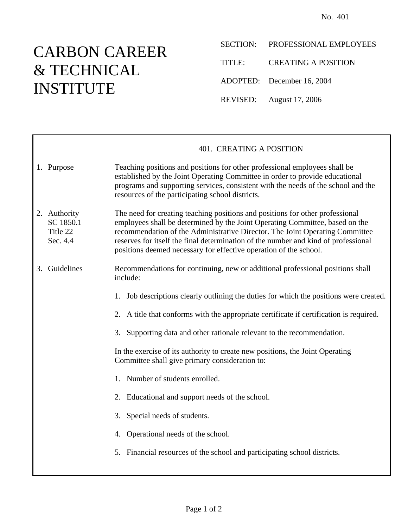## CARBON CAREER & TECHNICAL INSTITUTE

Ē

- SECTION: PROFESSIONAL EMPLOYEES
- TITLE: CREATING A POSITION
- ADOPTED: December 16, 2004
- REVISED: August 17, 2006

|                                                   | 401. CREATING A POSITION                                                                                                                                                                                                                                                                                                                                                                                 |
|---------------------------------------------------|----------------------------------------------------------------------------------------------------------------------------------------------------------------------------------------------------------------------------------------------------------------------------------------------------------------------------------------------------------------------------------------------------------|
| 1. Purpose                                        | Teaching positions and positions for other professional employees shall be<br>established by the Joint Operating Committee in order to provide educational<br>programs and supporting services, consistent with the needs of the school and the<br>resources of the participating school districts.                                                                                                      |
| 2. Authority<br>SC 1850.1<br>Title 22<br>Sec. 4.4 | The need for creating teaching positions and positions for other professional<br>employees shall be determined by the Joint Operating Committee, based on the<br>recommendation of the Administrative Director. The Joint Operating Committee<br>reserves for itself the final determination of the number and kind of professional<br>positions deemed necessary for effective operation of the school. |
| 3. Guidelines                                     | Recommendations for continuing, new or additional professional positions shall<br>include:                                                                                                                                                                                                                                                                                                               |
|                                                   | Job descriptions clearly outlining the duties for which the positions were created.<br>1.                                                                                                                                                                                                                                                                                                                |
|                                                   | 2. A title that conforms with the appropriate certificate if certification is required.                                                                                                                                                                                                                                                                                                                  |
|                                                   | 3. Supporting data and other rationale relevant to the recommendation.                                                                                                                                                                                                                                                                                                                                   |
|                                                   | In the exercise of its authority to create new positions, the Joint Operating<br>Committee shall give primary consideration to:                                                                                                                                                                                                                                                                          |
|                                                   | 1. Number of students enrolled.                                                                                                                                                                                                                                                                                                                                                                          |
|                                                   | 2. Educational and support needs of the school.                                                                                                                                                                                                                                                                                                                                                          |
|                                                   | Special needs of students.<br>3.                                                                                                                                                                                                                                                                                                                                                                         |
|                                                   | Operational needs of the school.<br>4.                                                                                                                                                                                                                                                                                                                                                                   |
|                                                   | 5. Financial resources of the school and participating school districts.                                                                                                                                                                                                                                                                                                                                 |